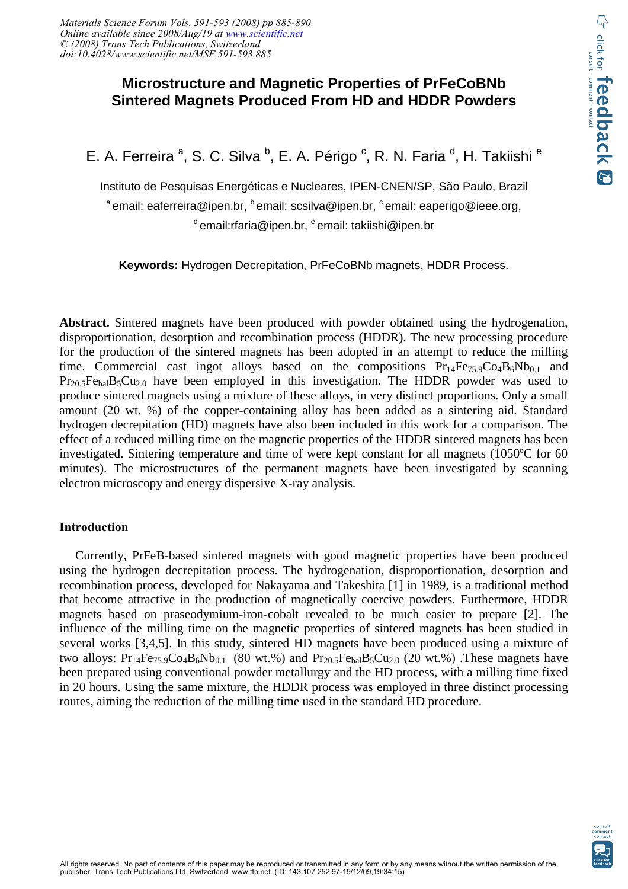# **Microstructure and Magnetic Properties of PrFeCoBNb Sintered Magnets Produced From HD and HDDR Powders**

E. A. Ferreira<sup>a</sup>, S. C. Silva<sup>b</sup>, E. A. Périgo<sup>c</sup>, R. N. Faria<sup>d</sup>, H. Takiishi<sup>e</sup>

Instituto de Pesquisas Energéticas e Nucleares, IPEN-CNEN/SP, São Paulo, Brazil <sup>a</sup>email: eaferreira@ipen.br, <sup>b</sup>email: scsilva@ipen.br, <sup>c</sup>email: eaperigo@ieee.org, <sup>d</sup>email:rfaria@ipen.br, <sup>e</sup>email: takiishi@ipen.br

**Keywords:** Hydrogen Decrepitation, PrFeCoBNb magnets, HDDR Process.

**Abstract.** Sintered magnets have been produced with powder obtained using the hydrogenation, disproportionation, desorption and recombination process (HDDR). The new processing procedure for the production of the sintered magnets has been adopted in an attempt to reduce the milling time. Commercial cast ingot alloys based on the compositions  $Pr<sub>14</sub>Fe<sub>75.9</sub>Co<sub>4</sub>B<sub>6</sub>Nb<sub>0.1</sub>$  and  $Pr_{20.5}Fe_{bal}B_5Cu_{2.0}$  have been employed in this investigation. The HDDR powder was used to produce sintered magnets using a mixture of these alloys, in very distinct proportions. Only a small amount (20 wt. %) of the copper-containing alloy has been added as a sintering aid. Standard hydrogen decrepitation (HD) magnets have also been included in this work for a comparison. The effect of a reduced milling time on the magnetic properties of the HDDR sintered magnets has been investigated. Sintering temperature and time of were kept constant for all magnets (1050ºC for 60 minutes). The microstructures of the permanent magnets have been investigated by scanning electron microscopy and energy dispersive X-ray analysis.

#### **Introduction**

 Currently, PrFeB-based sintered magnets with good magnetic properties have been produced using the hydrogen decrepitation process. The hydrogenation, disproportionation, desorption and recombination process, developed for Nakayama and Takeshita [1] in 1989, is a traditional method that become attractive in the production of magnetically coercive powders. Furthermore, HDDR magnets based on praseodymium-iron-cobalt revealed to be much easier to prepare [2]. The influence of the milling time on the magnetic properties of sintered magnets has been studied in several works [3,4,5]. In this study, sintered HD magnets have been produced using a mixture of two alloys:  $Pr_{14}Fe_{75.9}Co_4B_6Nb_{0.1}$  (80 wt.%) and  $Pr_{20.5}Fe_{bal}B_5Cu_{2.0}$  (20 wt.%). These magnets have been prepared using conventional powder metallurgy and the HD process, with a milling time fixed in 20 hours. Using the same mixture, the HDDR process was employed in three distinct processing routes, aiming the reduction of the milling time used in the standard HD procedure.

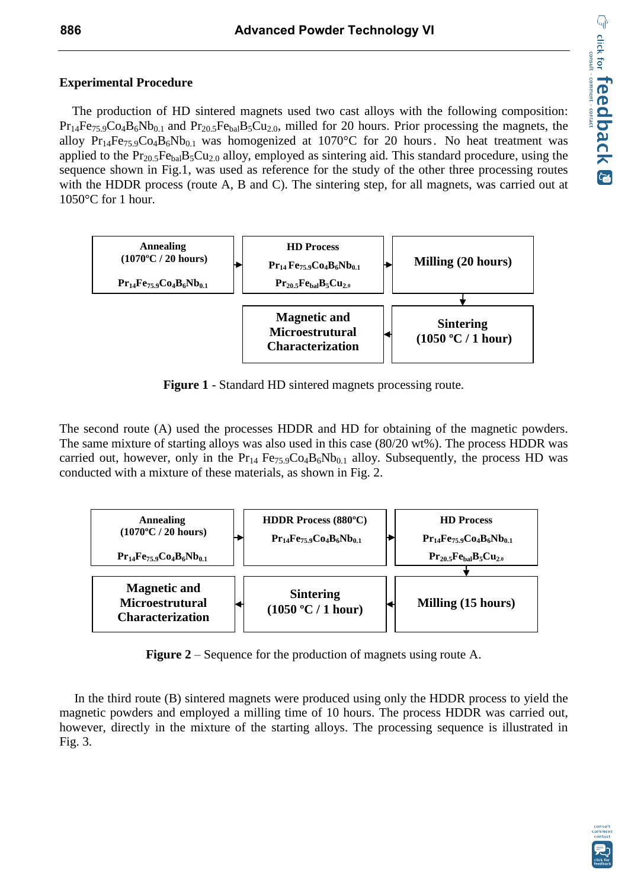# **Experimental Procedure**

 The production of HD sintered magnets used two cast alloys with the following composition:  $Pr_{14}Fe_{75.9}Co_4B_6Nb_{0.1}$  and  $Pr_{20.5}Fe_{bal}B_5Cu_{2.0}$ , milled for 20 hours. Prior processing the magnets, the alloy  $Pr_{14}Fe_{75.9}Co_4B_6Nb_{0.1}$  was homogenized at 1070°C for 20 hours. No heat treatment was applied to the  $Pr_{20.5}Fe_{bal}B_5Cu_{2.0}$  alloy, employed as sintering aid. This standard procedure, using the sequence shown in Fig.1, was used as reference for the study of the other three processing routes with the HDDR process (route A, B and C). The sintering step, for all magnets, was carried out at 1050°C for 1 hour.



**Figure 1** - Standard HD sintered magnets processing route.

The second route (A) used the processes HDDR and HD for obtaining of the magnetic powders. The same mixture of starting alloys was also used in this case (80/20 wt%). The process HDDR was carried out, however, only in the  $Pr_{14}$  Fe<sub>75.9</sub>Co<sub>4</sub>B<sub>6</sub>Nb<sub>0.1</sub> alloy. Subsequently, the process HD was conducted with a mixture of these materials, as shown in Fig. 2.



**Figure 2** – Sequence for the production of magnets using route A.

In the third route (B) sintered magnets were produced using only the HDDR process to yield the magnetic powders and employed a milling time of 10 hours. The process HDDR was carried out, however, directly in the mixture of the starting alloys. The processing sequence is illustrated in Fig. 3.

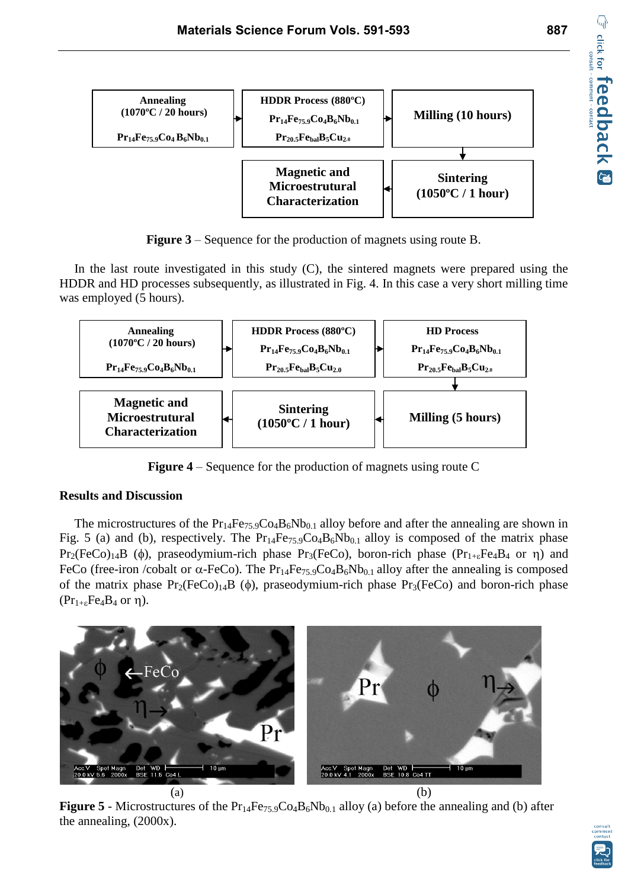



**Figure 3** – Sequence for the production of magnets using route B.

In the last route investigated in this study  $(C)$ , the sintered magnets were prepared using the HDDR and HD processes subsequently, as illustrated in Fig. 4. In this case a very short milling time was employed (5 hours).



**Figure 4** – Sequence for the production of magnets using route C

#### **Results and Discussion**

The microstructures of the  $Pr_{14}Fe_{75.9}Co_4B_6Nb_{0.1}$  alloy before and after the annealing are shown in Fig. 5 (a) and (b), respectively. The  $Pr_{14}Fe_{75.9}Co_4B_6Nb_{0.1}$  alloy is composed of the matrix phase Pr<sub>2</sub>(FeCo)<sub>14</sub>B ( $\phi$ ), praseodymium-rich phase Pr<sub>3</sub>(FeCo), boron-rich phase (Pr<sub>1+ $\epsilon$ </sub>Fe<sub>4</sub>B<sub>4</sub> or  $\eta$ ) and FeCo (free-iron /cobalt or  $\alpha$ -FeCo). The Pr<sub>14</sub>Fe<sub>75.9</sub>Co<sub>4</sub>B<sub>6</sub>Nb<sub>0.1</sub> alloy after the annealing is composed of the matrix phase  $Pr_2(FeCo)_{14}B$  ( $\phi$ ), praseodymium-rich phase  $Pr_3(FeCo)$  and boron-rich phase  $(Pr_{1+\epsilon}Fe_4B_4$  or  $\eta$ ).



**Figure 5** - Microstructures of the  $Pr_{14}Fe_{75.9}Co_4B_6Nb_{0.1}$  alloy (a) before the annealing and (b) after the annealing, (2000x).

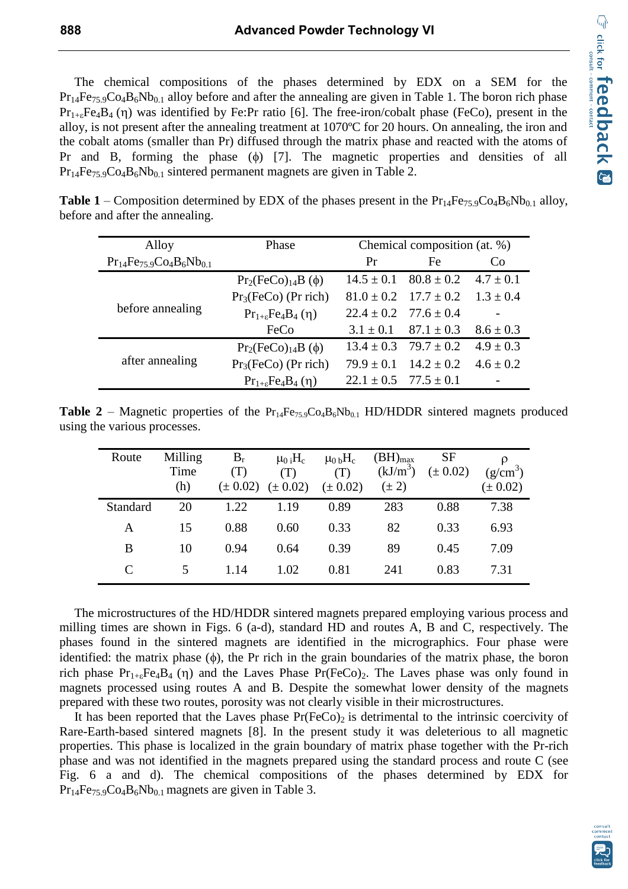The chemical compositions of the phases determined by EDX on a SEM for the  $Pr_{14}Fe_{75.9}Co_4B_6Nb_{0.1}$  alloy before and after the annealing are given in Table 1. The boron rich phase  $Pr_{1+s}Fe_4B_4$  (n) was identified by Fe:Pr ratio [6]. The free-iron/cobalt phase (FeCo), present in the alloy, is not present after the annealing treatment at 1070ºC for 20 hours. On annealing, the iron and the cobalt atoms (smaller than Pr) diffused through the matrix phase and reacted with the atoms of Pr and B, forming the phase  $(\phi)$  [7]. The magnetic properties and densities of all  $Pr_{14}Fe_{75.9}Co_4B_6Nb_{0.1}$  sintered permanent magnets are given in Table 2.

| <b>Table 1</b> – Composition determined by EDX of the phases present in the $Pr_{14}Fe_{75.9}Co_4B_6Nb_{0.1}$ alloy, |  |
|----------------------------------------------------------------------------------------------------------------------|--|
| before and after the annealing.                                                                                      |  |

| Alloy                             | Phase                          | Chemical composition (at. %)  |                               |               |  |
|-----------------------------------|--------------------------------|-------------------------------|-------------------------------|---------------|--|
| $Pr_{14}Fe_{75.9}Co_4B_6Nb_{0.1}$ |                                | Pr                            | Fe                            | Co            |  |
|                                   | $Pr_2(FeCo)_{14}B(\phi)$       |                               | $14.5 \pm 0.1$ $80.8 \pm 0.2$ | $4.7 \pm 0.1$ |  |
|                                   | $Pr3(FeCo)$ (Pr rich)          |                               | $81.0 \pm 0.2$ $17.7 \pm 0.2$ | $1.3 \pm 0.4$ |  |
| before annealing                  | $Pr_{1+\epsilon}Fe_4B_4(\eta)$ |                               | $22.4 \pm 0.2$ 77.6 $\pm$ 0.4 |               |  |
|                                   | FeCo                           | $3.1 \pm 0.1$                 | $87.1 \pm 0.3$                | $8.6 \pm 0.3$ |  |
|                                   | $Pr_2(FeCo)_{14}B(\phi)$       |                               | $13.4 \pm 0.3$ $79.7 \pm 0.2$ | $4.9 \pm 0.3$ |  |
| after annealing                   | $Pr3(FeCo)$ (Pr rich)          | $79.9 + 0.1$                  | $14.2 \pm 0.2$                | $4.6 \pm 0.2$ |  |
|                                   | $Pr_{1+\epsilon}Fe_4B_4(\eta)$ | $22.1 \pm 0.5$ $77.5 \pm 0.1$ |                               |               |  |

**Table 2** – Magnetic properties of the  $Pr_{14}Fe_{75.9}Co_4B_6Nb_{0.1}$  HD/HDDR sintered magnets produced using the various processes.

| Route    | Milling<br>Time<br>(h) | $B_r$<br>(T)<br>$(\pm 0.02)$ | $\mu_0$ <sub>i</sub> H <sub>c</sub><br>(T)<br>$(\pm 0.02)$ | $\mu_0$ <sub>b</sub> H <sub>c</sub><br>(T)<br>$(\pm 0.02)$ | $(BH)_{max}$<br>$(kJ/m^3)$<br>$(\pm 2)$ | <b>SF</b><br>$(\pm 0.02)$ | $(g/cm^3)$<br>$(\pm 0.02)$ |
|----------|------------------------|------------------------------|------------------------------------------------------------|------------------------------------------------------------|-----------------------------------------|---------------------------|----------------------------|
| Standard | 20                     | 1.22                         | 1.19                                                       | 0.89                                                       | 283                                     | 0.88                      | 7.38                       |
| A        | 15                     | 0.88                         | 0.60                                                       | 0.33                                                       | 82                                      | 0.33                      | 6.93                       |
| B        | 10                     | 0.94                         | 0.64                                                       | 0.39                                                       | 89                                      | 0.45                      | 7.09                       |
| C        |                        | 1.14                         | 1.02                                                       | 0.81                                                       | 241                                     | 0.83                      | 7.31                       |

The microstructures of the HD/HDDR sintered magnets prepared employing various process and milling times are shown in Figs. 6 (a-d), standard HD and routes A, B and C, respectively. The phases found in the sintered magnets are identified in the micrographics. Four phase were identified: the matrix phase  $(\phi)$ , the Pr rich in the grain boundaries of the matrix phase, the boron rich phase  $Pr_{1+\epsilon}Fe_4B_4$  ( $\eta$ ) and the Laves Phase Pr(FeCo)<sub>2</sub>. The Laves phase was only found in magnets processed using routes A and B. Despite the somewhat lower density of the magnets prepared with these two routes, porosity was not clearly visible in their microstructures.

It has been reported that the Laves phase  $Pr(FeCo)$  is detrimental to the intrinsic coercivity of Rare-Earth-based sintered magnets [8]. In the present study it was deleterious to all magnetic properties. This phase is localized in the grain boundary of matrix phase together with the Pr-rich phase and was not identified in the magnets prepared using the standard process and route C (see Fig. 6 a and d). The chemical compositions of the phases determined by EDX for  $Pr_{14}Fe_{75.9}Co_{4}B_{6}Nb_{0.1}$  magnets are given in Table 3.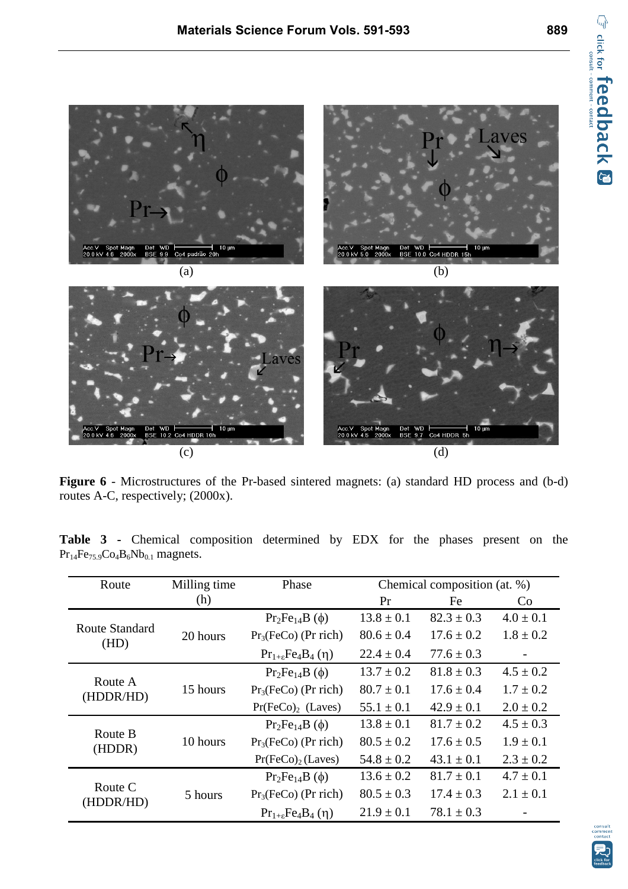

**Figure 6** - Microstructures of the Pr-based sintered magnets: (a) standard HD process and (b-d) routes A-C, respectively; (2000x).

| Route                  | Milling time | Phase                              | Chemical composition (at. %) |                |               |  |
|------------------------|--------------|------------------------------------|------------------------------|----------------|---------------|--|
|                        | (h)          |                                    | Pr                           | Fe             | Co.           |  |
| Route Standard<br>(HD) |              | $Pr_2Fe_{14}B(\phi)$               | $13.8 \pm 0.1$               | $82.3 \pm 0.3$ | $4.0 \pm 0.1$ |  |
|                        | 20 hours     | $Pr_3(FeCo)$ (Pr rich)             | $80.6 \pm 0.4$               | $17.6 \pm 0.2$ | $1.8 \pm 0.2$ |  |
|                        |              | $Pr_{1+\epsilon}Fe_{4}B_{4}(\eta)$ | $22.4 \pm 0.4$               | $77.6 \pm 0.3$ |               |  |
| Route A<br>(HDDR/HD)   | 15 hours     | $Pr_2Fe_{14}B(\phi)$               | $13.7 \pm 0.2$               | $81.8 \pm 0.3$ | $4.5 \pm 0.2$ |  |
|                        |              | $Pr_3(FeCo)$ (Pr rich)             | $80.7 \pm 0.1$               | $17.6 \pm 0.4$ | $1.7 \pm 0.2$ |  |
|                        |              | $Pr(FeCo)2$ (Laves)                | $55.1 \pm 0.1$               | $42.9 \pm 0.1$ | $2.0 \pm 0.2$ |  |
|                        |              | $Pr_2Fe_{14}B(\phi)$               | $13.8 \pm 0.1$               | $81.7 \pm 0.2$ | $4.5 \pm 0.3$ |  |
| Route B<br>(HDDR)      | 10 hours     | $Pr_3(FeCo)$ (Pr rich)             | $80.5 \pm 0.2$               | $17.6 \pm 0.5$ | $1.9 \pm 0.1$ |  |
|                        |              | $Pr(FeCo)2$ (Laves)                | $54.8 \pm 0.2$               | $43.1 \pm 0.1$ | $2.3 \pm 0.2$ |  |
| Route C<br>(HDDR/HD)   | 5 hours      | $Pr_2Fe_{14}B(\phi)$               | $13.6 \pm 0.2$               | $81.7 \pm 0.1$ | $4.7 \pm 0.1$ |  |
|                        |              | $Pr_3(FeCo)$ (Pr rich)             | $80.5 \pm 0.3$               | $17.4 \pm 0.3$ | $2.1 + 0.1$   |  |
|                        |              | $Pr_{1+\epsilon}Fe_4B_4(\eta)$     | $21.9 \pm 0.1$               | $78.1 \pm 0.3$ |               |  |

**Table 3 -** Chemical composition determined by EDX for the phases present on the  $Pr_{14}Fe_{75.9}Co_4B_6Nb_{0.1}$  magnets.

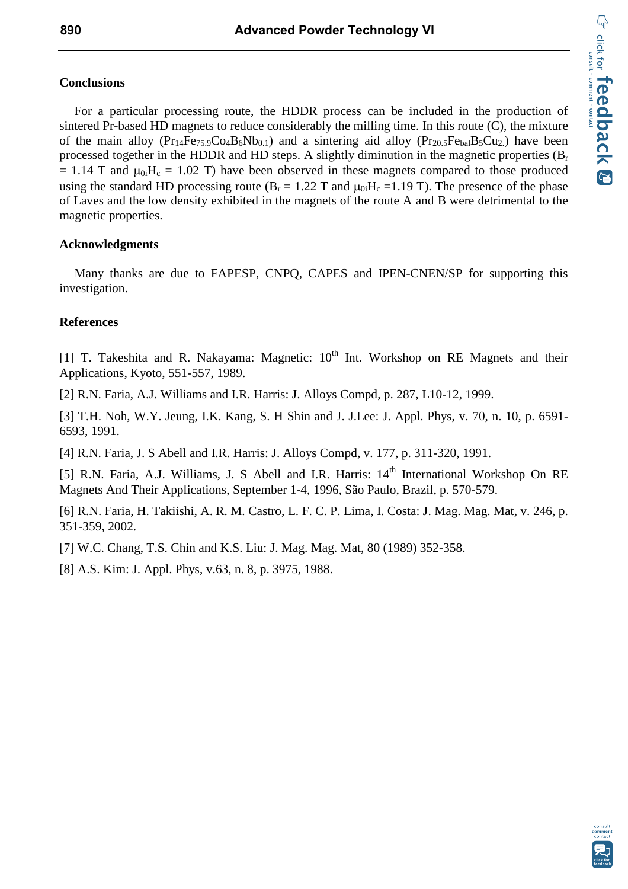## **Conclusions**

For a particular processing route, the HDDR process can be included in the production of sintered Pr-based HD magnets to reduce considerably the milling time. In this route (C), the mixture of the main alloy  $(Pr_{14}Fe_{75.9}Co_4B_6Nb_{0.1})$  and a sintering aid alloy  $(Pr_{20.5}Fe_{bal}B_5Cu_2)$  have been processed together in the HDDR and HD steps. A slightly diminution in the magnetic properties  $(B_r)$  $= 1.14$  T and  $\mu_{0i}H_c = 1.02$  T) have been observed in these magnets compared to those produced using the standard HD processing route ( $B<sub>r</sub> = 1.22$  T and  $\mu_0$ ;  $H<sub>c</sub> = 1.19$  T). The presence of the phase of Laves and the low density exhibited in the magnets of the route A and B were detrimental to the magnetic properties.

#### **Acknowledgments**

Many thanks are due to FAPESP, CNPQ, CAPES and IPEN-CNEN/SP for supporting this investigation.

# **References**

[1] T. Takeshita and R. Nakayama: Magnetic:  $10^{th}$  Int. Workshop on RE Magnets and their Applications, Kyoto, 551-557, 1989.

[2] R.N. Faria, A.J. Williams and I.R. Harris: J. Alloys Compd, p. 287, L10-12, 1999.

[3] T.H. Noh, W.Y. Jeung, I.K. Kang, S. H Shin and J. J.Lee: J. Appl. Phys, v. 70, n. 10, p. 6591- 6593, 1991.

[4] R.N. Faria, J. S Abell and I.R. Harris: J. Alloys Compd, v. 177, p. 311-320, 1991.

[5] R.N. Faria, A.J. Williams, J. S Abell and I.R. Harris: 14<sup>th</sup> International Workshop On RE Magnets And Their Applications, September 1-4, 1996, São Paulo, Brazil, p. 570-579.

[6] R.N. Faria, H. Takiishi, A. R. M. Castro, L. F. C. P. Lima, I. Costa: J. Mag. Mag. Mat, v. 246, p. 351-359, 2002.

[7] W.C. Chang, T.S. Chin and K.S. Liu: J. Mag. Mag. Mat, 80 (1989) 352-358.

[8] A.S. Kim: J. Appl. Phys, v.63, n. 8, p. 3975, 1988.